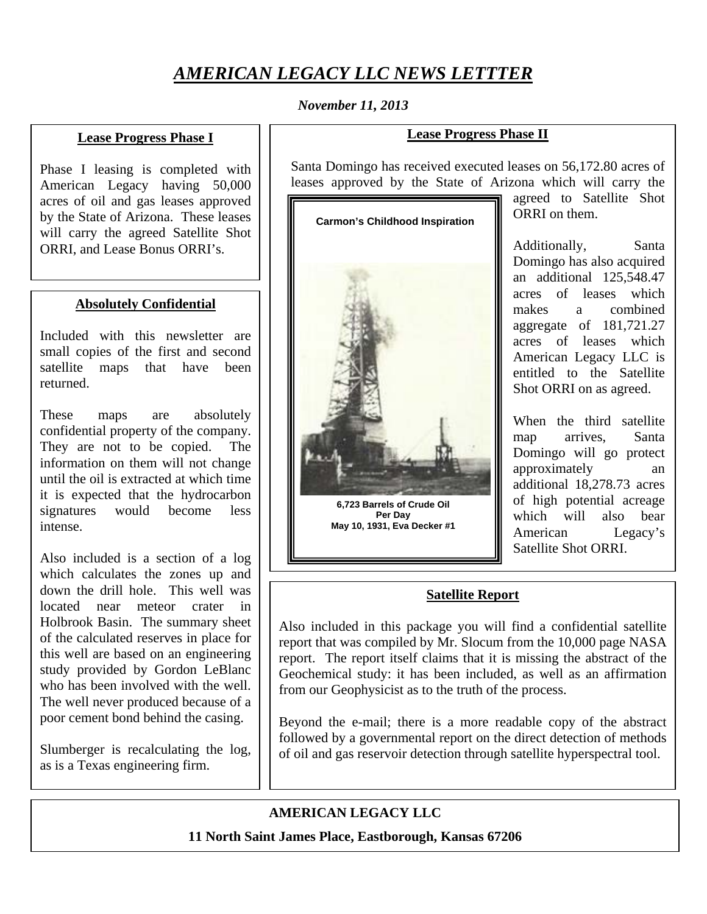# *AMERICAN LEGACY LLC NEWS LETTTER*

#### *November 11, 2013*

#### **Lease Progress Phase I**

Phase I leasing is completed with American Legacy having 50,000 acres of oil and gas leases approved by the State of Arizona. These leases will carry the agreed Satellite Shot ORRI, and Lease Bonus ORRI's.

#### **Absolutely Confidential**

Included with this newsletter are small copies of the first and second satellite maps that have been returned.

These maps are absolutely confidential property of the company. They are not to be copied. The information on them will not change until the oil is extracted at which time it is expected that the hydrocarbon signatures would become less intense.

Also included is a section of a log which calculates the zones up and down the drill hole. This well was located near meteor crater in Holbrook Basin. The summary sheet of the calculated reserves in place for this well are based on an engineering study provided by Gordon LeBlanc who has been involved with the well. The well never produced because of a poor cement bond behind the casing.

Slumberger is recalculating the log, as is a Texas engineering firm.

### **Lease Progress Phase II**

Santa Domingo has received executed leases on 56,172.80 acres of leases approved by the State of Arizona which will carry the

#### **Carmon's Childhood Inspiration**



**6,723 Barrels of Crude Oil Per Day May 10, 1931, Eva Decker #1**  agreed to Satellite Shot ORRI on them.

Additionally, Santa Domingo has also acquired an additional 125,548.47 acres of leases which makes a combined aggregate of 181,721.27 acres of leases which American Legacy LLC is entitled to the Satellite Shot ORRI on as agreed.

When the third satellite map arrives, Santa Domingo will go protect approximately an additional 18,278.73 acres of high potential acreage which will also bear American Legacy's Satellite Shot ORRI.

# **Satellite Report**

Also included in this package you will find a confidential satellite report that was compiled by Mr. Slocum from the 10,000 page NASA report. The report itself claims that it is missing the abstract of the Geochemical study: it has been included, as well as an affirmation from our Geophysicist as to the truth of the process.

Beyond the e-mail; there is a more readable copy of the abstract followed by a governmental report on the direct detection of methods of oil and gas reservoir detection through satellite hyperspectral tool.

# **AMERICAN LEGACY LLC**

**11 North Saint James Place, Eastborough, Kansas 67206**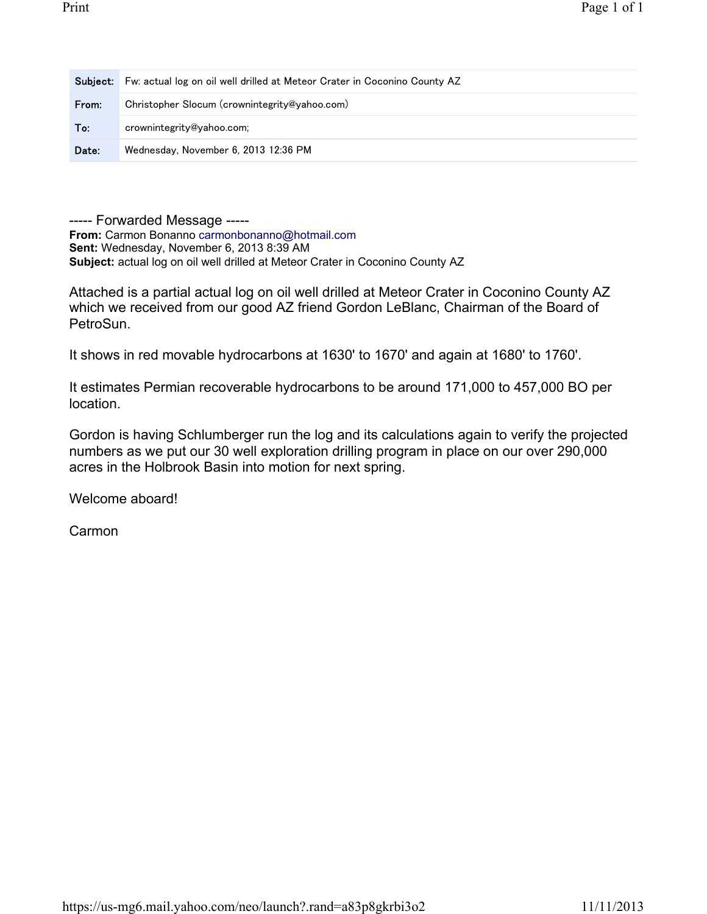| Subiect: | Fw: actual log on oil well drilled at Meteor Crater in Coconino County AZ |
|----------|---------------------------------------------------------------------------|
| From:    | Christopher Slocum (crownintegrity@yahoo.com)                             |
| To:      | crownintegrity@yahoo.com;                                                 |
| Date:    | Wednesday, November 6, 2013 12:36 PM                                      |

----- Forwarded Message ----- **From:** Carmon Bonanno carmonbonanno@hotmail.com **Sent:** Wednesday, November 6, 2013 8:39 AM **Subject:** actual log on oil well drilled at Meteor Crater in Coconino County AZ

Attached is a partial actual log on oil well drilled at Meteor Crater in Coconino County AZ which we received from our good AZ friend Gordon LeBlanc, Chairman of the Board of PetroSun.

It shows in red movable hydrocarbons at 1630' to 1670' and again at 1680' to 1760'.

It estimates Permian recoverable hydrocarbons to be around 171,000 to 457,000 BO per location.

Gordon is having Schlumberger run the log and its calculations again to verify the projected numbers as we put our 30 well exploration drilling program in place on our over 290,000 acres in the Holbrook Basin into motion for next spring.

Welcome aboard!

Carmon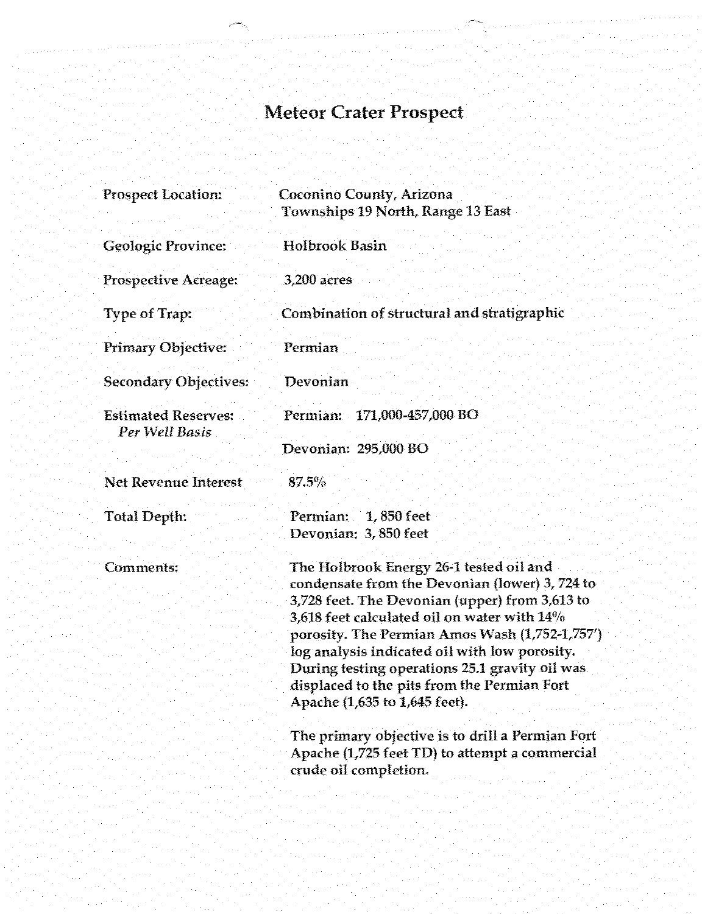# Meteor Crater Prospect

| <b>Prospect Location:</b>                    | Coconino County, Arizona<br>Townships 19 North, Range 13 East                                                                                                                                                                                                                                                                                                                                                                                                                                                                                                     |
|----------------------------------------------|-------------------------------------------------------------------------------------------------------------------------------------------------------------------------------------------------------------------------------------------------------------------------------------------------------------------------------------------------------------------------------------------------------------------------------------------------------------------------------------------------------------------------------------------------------------------|
| <b>Geologic Province:</b>                    | <b>Holbrook Basin</b>                                                                                                                                                                                                                                                                                                                                                                                                                                                                                                                                             |
| <b>Prospective Acreage:</b>                  | 3,200 acres                                                                                                                                                                                                                                                                                                                                                                                                                                                                                                                                                       |
| <b>Type of Trap:</b>                         | Combination of structural and stratigraphic                                                                                                                                                                                                                                                                                                                                                                                                                                                                                                                       |
| Primary Objective:                           | Permian                                                                                                                                                                                                                                                                                                                                                                                                                                                                                                                                                           |
| <b>Secondary Objectives:</b>                 | Devonian                                                                                                                                                                                                                                                                                                                                                                                                                                                                                                                                                          |
| <b>Estimated Reserves:</b><br>Per Well Basis | Permian: 171,000-457,000 BO                                                                                                                                                                                                                                                                                                                                                                                                                                                                                                                                       |
|                                              | Devonian: 295,000 BO                                                                                                                                                                                                                                                                                                                                                                                                                                                                                                                                              |
| <b>Net Revenue Interest</b>                  | $87.5\%$                                                                                                                                                                                                                                                                                                                                                                                                                                                                                                                                                          |
| <b>Total Depth:</b>                          | Permian: 1,850 feet<br>Devonian: 3,850 feet                                                                                                                                                                                                                                                                                                                                                                                                                                                                                                                       |
| Comments:                                    | The Holbrook Energy 26-1 tested oil and<br>condensate from the Devonian (lower) 3, 724 to<br>3,728 feet. The Devonian (upper) from 3,613 to<br>3,618 feet calculated oil on water with $14\%$<br>porosity. The Permian Amos Wash (1,752-1,757')<br>log analysis indicated oil with low porosity.<br>During testing operations 25.1 gravity oil was<br>displaced to the pits from the Permian Fort<br>Apache (1,635 to 1,645 feet).<br>The primary objective is to drill a Permian Fort<br>Apache (1,725 feet TD) to attempt a commercial<br>crude oil completion. |